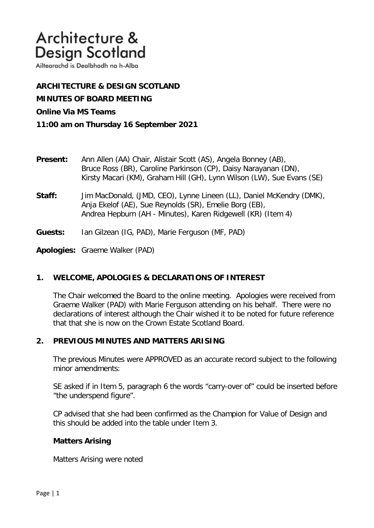Ailtearachd is Dealbhadh na h-Alba

**ARCHITECTURE & DESIGN SCOTLAND MINUTES OF BOARD MEETING Online Via MS Teams 11:00 am on Thursday 16 September 2021**

- **Present:** Ann Allen (AA) Chair, Alistair Scott (AS), Angela Bonney (AB), Bruce Ross (BR), Caroline Parkinson (CP), Daisy Narayanan (DN), Kirsty Macari (KM), Graham Hill (GH), Lynn Wilson (LW), Sue Evans (SE)
- **Staff:** Jim MacDonald, (JMD, CEO), Lynne Lineen (LL), Daniel McKendry (DMK), Anja Ekelof (AE), Sue Reynolds (SR), Emelie Borg (EB), Andrea Hepburn (AH - Minutes), Karen Ridgewell (KR) (Item 4)
- **Guests:** Ian Gilzean (IG, PAD), Marie Ferguson (MF, PAD)

**Apologies:** Graeme Walker (PAD)

# **1. WELCOME, APOLOGIES & DECLARATIONS OF INTEREST**

The Chair welcomed the Board to the online meeting. Apologies were received from Graeme Walker (PAD) with Marie Ferguson attending on his behalf. There were no declarations of interest although the Chair wished it to be noted for future reference that that she is now on the Crown Estate Scotland Board.

# **2. PREVIOUS MINUTES AND MATTERS ARISING**

The previous Minutes were APPROVED as an accurate record subject to the following minor amendments:

SE asked if in Item 5, paragraph 6 the words "carry-over of" could be inserted before "the underspend figure".

CP advised that she had been confirmed as the Champion for Value of Design and this should be added into the table under Item 3.

### **Matters Arising**

Matters Arising were noted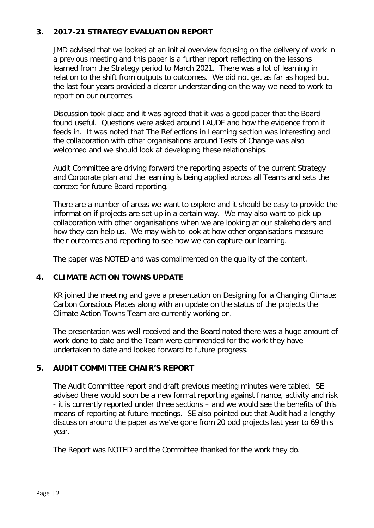# **3. 2017-21 STRATEGY EVALUATION REPORT**

JMD advised that we looked at an initial overview focusing on the delivery of work in a previous meeting and this paper is a further report reflecting on the lessons learned from the Strategy period to March 2021. There was a lot of learning in relation to the shift from outputs to outcomes. We did not get as far as hoped but the last four years provided a clearer understanding on the way we need to work to report on our outcomes.

Discussion took place and it was agreed that it was a good paper that the Board found useful. Questions were asked around LAUDF and how the evidence from it feeds in. It was noted that The Reflections in Learning section was interesting and the collaboration with other organisations around Tests of Change was also welcomed and we should look at developing these relationships.

Audit Committee are driving forward the reporting aspects of the current Strategy and Corporate plan and the learning is being applied across all Teams and sets the context for future Board reporting.

There are a number of areas we want to explore and it should be easy to provide the information if projects are set up in a certain way. We may also want to pick up collaboration with other organisations when we are looking at our stakeholders and how they can help us. We may wish to look at how other organisations measure their outcomes and reporting to see how we can capture our learning.

The paper was NOTED and was complimented on the quality of the content.

# **4. CLIMATE ACTION TOWNS UPDATE**

KR joined the meeting and gave a presentation on Designing for a Changing Climate: Carbon Conscious Places along with an update on the status of the projects the Climate Action Towns Team are currently working on.

The presentation was well received and the Board noted there was a huge amount of work done to date and the Team were commended for the work they have undertaken to date and looked forward to future progress.

# **5. AUDIT COMMITTEE CHAIR'S REPORT**

The Audit Committee report and draft previous meeting minutes were tabled. SE advised there would soon be a new format reporting against finance, activity and risk - it is currently reported under three sections – and we would see the benefits of this means of reporting at future meetings. SE also pointed out that Audit had a lengthy discussion around the paper as we've gone from 20 odd projects last year to 69 this year.

The Report was NOTED and the Committee thanked for the work they do.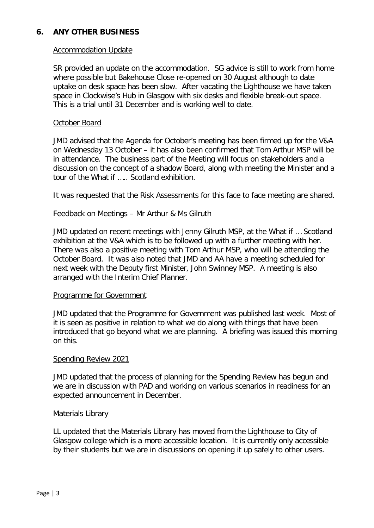# **6. ANY OTHER BUSINESS**

## Accommodation Update

SR provided an update on the accommodation. SG advice is still to work from home where possible but Bakehouse Close re-opened on 30 August although to date uptake on desk space has been slow. After vacating the Lighthouse we have taken space in Clockwise's Hub in Glasgow with six desks and flexible break-out space. This is a trial until 31 December and is working well to date.

## October Board

JMD advised that the Agenda for October's meeting has been firmed up for the V&A on Wednesday 13 October – it has also been confirmed that Tom Arthur MSP will be in attendance. The business part of the Meeting will focus on stakeholders and a discussion on the concept of a shadow Board, along with meeting the Minister and a tour of the What if ….. Scotland exhibition.

It was requested that the Risk Assessments for this face to face meeting are shared.

## Feedback on Meetings – Mr Arthur & Ms Gilruth

 JMD updated on recent meetings with Jenny Gilruth MSP, at the What if … Scotland exhibition at the V&A which is to be followed up with a further meeting with her. There was also a positive meeting with Tom Arthur MSP, who will be attending the October Board. It was also noted that JMD and AA have a meeting scheduled for next week with the Deputy first Minister, John Swinney MSP. A meeting is also arranged with the Interim Chief Planner.

### Programme for Government

 JMD updated that the Programme for Government was published last week. Most of it is seen as positive in relation to what we do along with things that have been introduced that go beyond what we are planning. A briefing was issued this morning on this.

### Spending Review 2021

 JMD updated that the process of planning for the Spending Review has begun and we are in discussion with PAD and working on various scenarios in readiness for an expected announcement in December.

### Materials Library

LL updated that the Materials Library has moved from the Lighthouse to City of Glasgow college which is a more accessible location. It is currently only accessible by their students but we are in discussions on opening it up safely to other users.